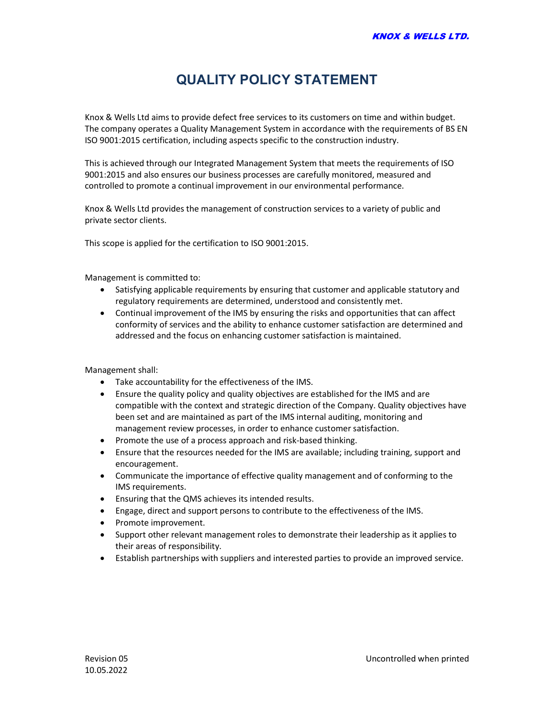## QUALITY POLICY STATEMENT

Knox & Wells Ltd aims to provide defect free services to its customers on time and within budget. The company operates a Quality Management System in accordance with the requirements of BS EN ISO 9001:2015 certification, including aspects specific to the construction industry.

This is achieved through our Integrated Management System that meets the requirements of ISO 9001:2015 and also ensures our business processes are carefully monitored, measured and controlled to promote a continual improvement in our environmental performance.

Knox & Wells Ltd provides the management of construction services to a variety of public and private sector clients.

This scope is applied for the certification to ISO 9001:2015.

Management is committed to:

- Satisfying applicable requirements by ensuring that customer and applicable statutory and regulatory requirements are determined, understood and consistently met.
- Continual improvement of the IMS by ensuring the risks and opportunities that can affect conformity of services and the ability to enhance customer satisfaction are determined and addressed and the focus on enhancing customer satisfaction is maintained.

Management shall:

- Take accountability for the effectiveness of the IMS.
- Ensure the quality policy and quality objectives are established for the IMS and are compatible with the context and strategic direction of the Company. Quality objectives have been set and are maintained as part of the IMS internal auditing, monitoring and management review processes, in order to enhance customer satisfaction.
- Promote the use of a process approach and risk-based thinking.
- Ensure that the resources needed for the IMS are available; including training, support and encouragement.
- Communicate the importance of effective quality management and of conforming to the IMS requirements.
- Ensuring that the QMS achieves its intended results.
- Engage, direct and support persons to contribute to the effectiveness of the IMS.
- Promote improvement.
- Support other relevant management roles to demonstrate their leadership as it applies to their areas of responsibility.
- Establish partnerships with suppliers and interested parties to provide an improved service.